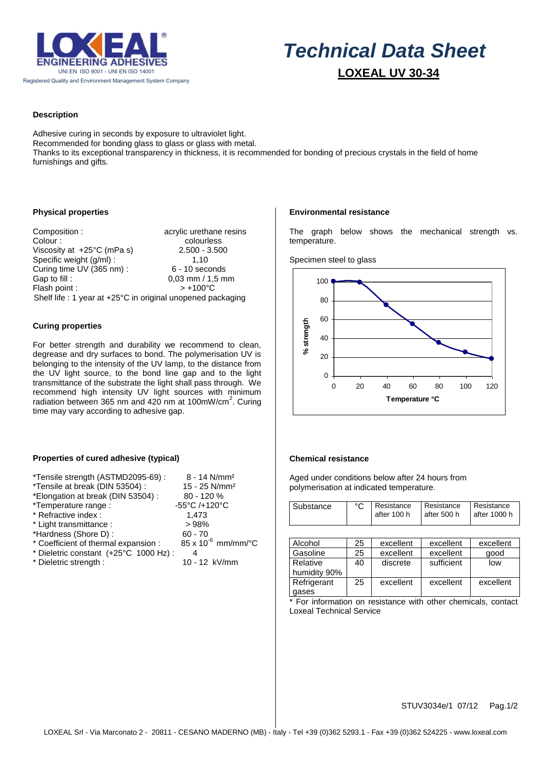

# *Technical Data Sheet*  **LOXEAL UV 30-34**

# **Description**

Adhesive curing in seconds by exposure to ultraviolet light. Recommended for bonding glass to glass or glass with metal. Thanks to its exceptional transparency in thickness, it is recommended for bonding of precious crystals in the field of home furnishings and gifts*.*

## **Physical properties**

Composition : acrylic urethane resins Colour : colourless Viscosity at +25°C (mPa s) 2.500 - 3.500 Specific weight (g/ml) : 1,10<br>Curing time UV (365 nm) : 6 - 10 seconds Curing time UV (365 nm) : Gap to fill :  $0.03$  mm / 1,5 mm<br>Flash point :  $> +100^{\circ}$ C Flash point : Shelf life : 1 year at +25°C in original unopened packaging

## **Curing properties**

For better strength and durability we recommend to clean, degrease and dry surfaces to bond. The polymerisation UV is belonging to the intensity of the UV lamp, to the distance from the UV light source, to the bond line gap and to the light transmittance of the substrate the light shall pass through. We recommend high intensity UV light sources with minimum radiation between 365 nm and  $420$  nm at 100mW/cm<sup>2</sup>. Curing time may vary according to adhesive gap.

# Specimen steel to glass

temperature.

**Environmental resistance**



The graph below shows the mechanical strength vs.

# **Properties of cured adhesive (typical)**

| *Tensile strength (ASTMD2095-69) :    | $8 - 14$ N/mm <sup>2</sup>   |
|---------------------------------------|------------------------------|
| *Tensile at break (DIN 53504) :       | 15 - 25 N/mm <sup>2</sup>    |
| *Elongation at break (DIN 53504) :    | 80 - 120 %                   |
| *Temperature range :                  | -55°C /+120°C                |
| * Refractive index :                  | 1,473                        |
| * Light transmittance :               | >98%                         |
| *Hardness (Shore D):                  | $60 - 70$                    |
| * Coefficient of thermal expansion :  | $85 \times 10^{-6}$ mm/mm/°C |
| * Dieletric constant (+25°C 1000 Hz): | 4                            |
| * Dieletric strength :                | 10 - 12 kV/mm                |

#### **Chemical resistance**

Aged under conditions below after 24 hours from polymerisation at indicated temperature.

| Substance | °C   Resistance   Resistance   Resistance<br>after 100 h | l after 500 h | l after 1000 h |
|-----------|----------------------------------------------------------|---------------|----------------|
|           |                                                          |               |                |

| Alcohol                  | 25 | excellent | excellent  | excellent |
|--------------------------|----|-----------|------------|-----------|
| Gasoline                 | 25 | excellent | excellent  | qood      |
| Relative<br>humidity 90% | 40 | discrete  | sufficient | low       |
| Refrigerant              | 25 | excellent | excellent  | excellent |
| gases                    |    |           |            |           |

\* For information on resistance with other chemicals, contact Loxeal Technical Service

STUV3034e/1 07/12 Pag.1/2